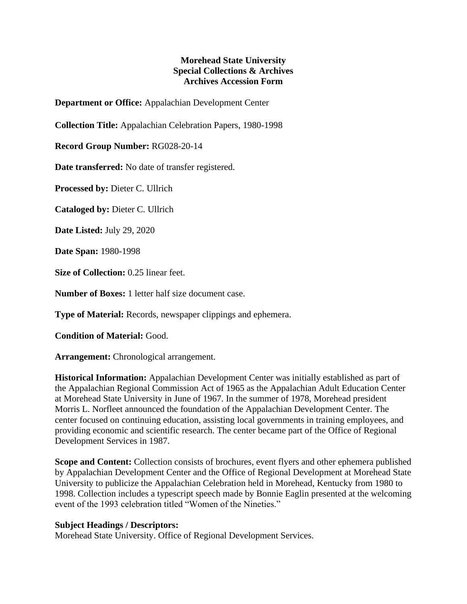## **Morehead State University Special Collections & Archives Archives Accession Form**

**Department or Office:** Appalachian Development Center

**Collection Title:** Appalachian Celebration Papers, 1980-1998

**Record Group Number:** RG028-20-14

**Date transferred:** No date of transfer registered.

**Processed by:** Dieter C. Ullrich

**Cataloged by:** Dieter C. Ullrich

**Date Listed:** July 29, 2020

**Date Span:** 1980-1998

**Size of Collection:** 0.25 linear feet.

**Number of Boxes:** 1 letter half size document case.

**Type of Material:** Records, newspaper clippings and ephemera.

**Condition of Material:** Good.

**Arrangement:** Chronological arrangement.

**Historical Information:** Appalachian Development Center was initially established as part of the Appalachian Regional Commission Act of 1965 as the Appalachian Adult Education Center at Morehead State University in June of 1967. In the summer of 1978, Morehead president Morris L. Norfleet announced the foundation of the Appalachian Development Center. The center focused on continuing education, assisting local governments in training employees, and providing economic and scientific research. The center became part of the Office of Regional Development Services in 1987.

**Scope and Content:** Collection consists of brochures, event flyers and other ephemera published by Appalachian Development Center and the Office of Regional Development at Morehead State University to publicize the Appalachian Celebration held in Morehead, Kentucky from 1980 to 1998. Collection includes a typescript speech made by Bonnie Eaglin presented at the welcoming event of the 1993 celebration titled "Women of the Nineties."

## **Subject Headings / Descriptors:**

Morehead State University. Office of Regional Development Services.